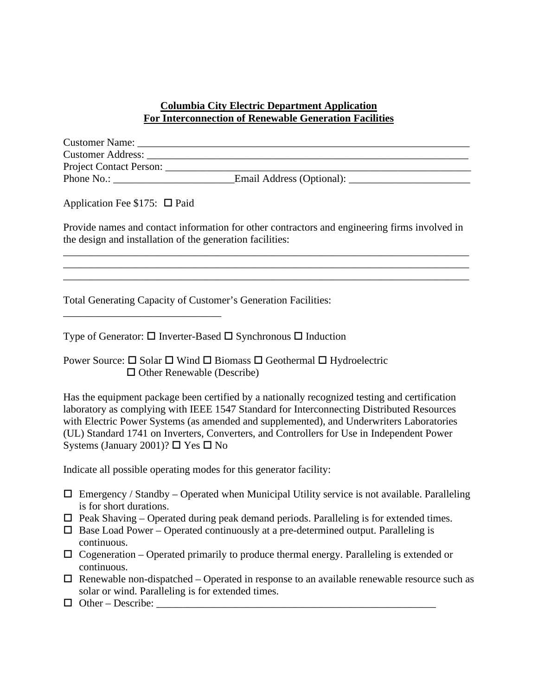## **Columbia City Electric Department Application For Interconnection of Renewable Generation Facilities**

| <b>Customer Name:</b>    |                           |
|--------------------------|---------------------------|
| <b>Customer Address:</b> |                           |
| Project Contact Person:  |                           |
| Phone No.:               | Email Address (Optional): |

Application Fee  $$175: \square$  Paid

\_\_\_\_\_\_\_\_\_\_\_\_\_\_\_\_\_\_\_\_\_\_\_\_\_\_\_\_\_\_

Provide names and contact information for other contractors and engineering firms involved in the design and installation of the generation facilities:

\_\_\_\_\_\_\_\_\_\_\_\_\_\_\_\_\_\_\_\_\_\_\_\_\_\_\_\_\_\_\_\_\_\_\_\_\_\_\_\_\_\_\_\_\_\_\_\_\_\_\_\_\_\_\_\_\_\_\_\_\_\_\_\_\_\_\_\_\_\_\_\_\_\_\_\_\_

\_\_\_\_\_\_\_\_\_\_\_\_\_\_\_\_\_\_\_\_\_\_\_\_\_\_\_\_\_\_\_\_\_\_\_\_\_\_\_\_\_\_\_\_\_\_\_\_\_\_\_\_\_\_\_\_\_\_\_\_\_\_\_\_\_\_\_\_\_\_\_\_\_\_\_\_\_

Total Generating Capacity of Customer's Generation Facilities:

| Type of Generator: $\square$ Inverter-Based $\square$ Synchronous $\square$ Induction |  |
|---------------------------------------------------------------------------------------|--|
|                                                                                       |  |

Power Source:  $\Box$  Solar  $\Box$  Wind  $\Box$  Biomass  $\Box$  Geothermal  $\Box$  Hydroelectric  $\Box$  Other Renewable (Describe)

Has the equipment package been certified by a nationally recognized testing and certification laboratory as complying with IEEE 1547 Standard for Interconnecting Distributed Resources with Electric Power Systems (as amended and supplemented), and Underwriters Laboratories (UL) Standard 1741 on Inverters, Converters, and Controllers for Use in Independent Power Systems (January 2001)?  $\Box$  Yes  $\Box$  No

Indicate all possible operating modes for this generator facility:

- $\Box$  Emergency / Standby Operated when Municipal Utility service is not available. Paralleling is for short durations.
- $\Box$  Peak Shaving Operated during peak demand periods. Paralleling is for extended times.
- $\square$  Base Load Power Operated continuously at a pre-determined output. Paralleling is continuous.
- $\Box$  Cogeneration Operated primarily to produce thermal energy. Paralleling is extended or continuous.
- $\square$  Renewable non-dispatched Operated in response to an available renewable resource such as solar or wind. Paralleling is for extended times.
- $\Box$  Other Describe: